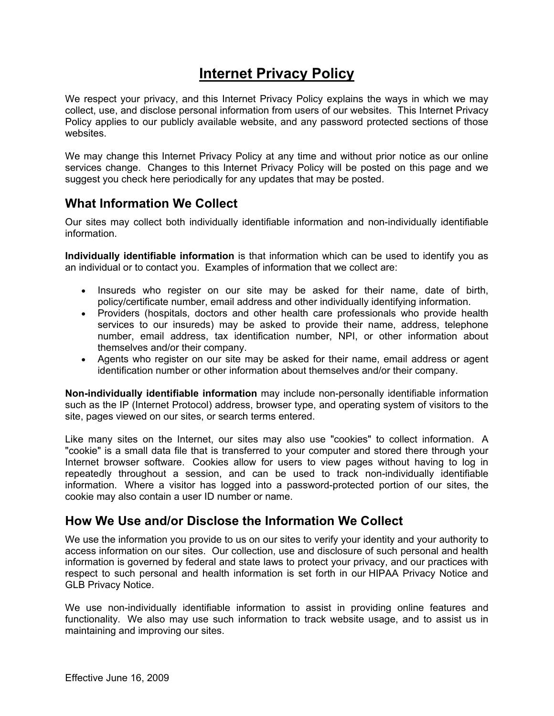# **Internet Privacy Policy**

We respect your privacy, and this Internet Privacy Policy explains the ways in which we may collect, use, and disclose personal information from users of our websites. This Internet Privacy Policy applies to our publicly available website, and any password protected sections of those websites.

We may change this Internet Privacy Policy at any time and without prior notice as our online services change. Changes to this Internet Privacy Policy will be posted on this page and we suggest you check here periodically for any updates that may be posted.

#### **What Information We Collect**

Our sites may collect both individually identifiable information and non-individually identifiable information.

**Individually identifiable information** is that information which can be used to identify you as an individual or to contact you. Examples of information that we collect are:

- Insureds who register on our site may be asked for their name, date of birth, policy/certificate number, email address and other individually identifying information.
- Providers (hospitals, doctors and other health care professionals who provide health services to our insureds) may be asked to provide their name, address, telephone number, email address, tax identification number, NPI, or other information about themselves and/or their company.
- Agents who register on our site may be asked for their name, email address or agent identification number or other information about themselves and/or their company.

**Non-individually identifiable information** may include non-personally identifiable information such as the IP (Internet Protocol) address, browser type, and operating system of visitors to the site, pages viewed on our sites, or search terms entered.

Like many sites on the Internet, our sites may also use "cookies" to collect information. A "cookie" is a small data file that is transferred to your computer and stored there through your Internet browser software. Cookies allow for users to view pages without having to log in repeatedly throughout a session, and can be used to track non-individually identifiable information. Where a visitor has logged into a password-protected portion of our sites, the cookie may also contain a user ID number or name.

#### **How We Use and/or Disclose the Information We Collect**

We use the information you provide to us on our sites to verify your identity and your authority to access information on our sites. Our collection, use and disclosure of such personal and health information is governed by federal and state laws to protect your privacy, and our practices with respect to such personal and health information is set forth in our HIPAA Privacy Notice and GLB Privacy Notice.

We use non-individually identifiable information to assist in providing online features and functionality. We also may use such information to track website usage, and to assist us in maintaining and improving our sites.